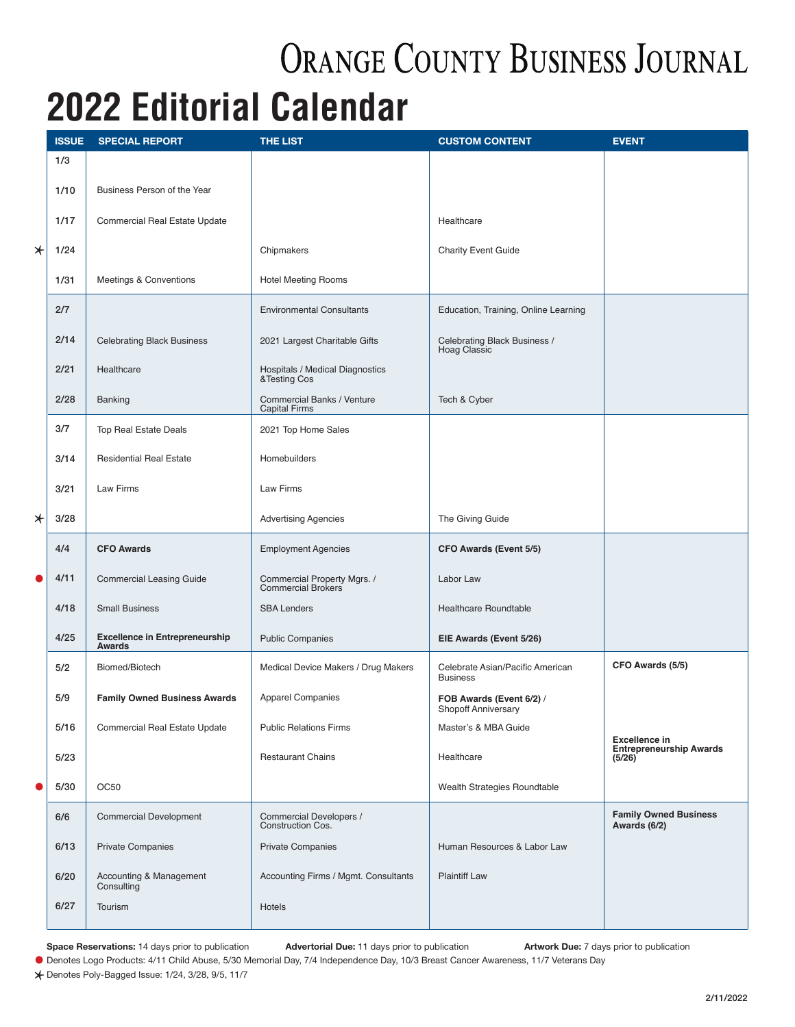## **ORANGE COUNTY BUSINESS JOURNAL**

## **2022 Editorial Calendar**

|         | <b>ISSUE</b> | <b>SPECIAL REPORT</b>                                  | <b>THE LIST</b>                                    | <b>CUSTOM CONTENT</b>                                  | <b>EVENT</b>                                 |
|---------|--------------|--------------------------------------------------------|----------------------------------------------------|--------------------------------------------------------|----------------------------------------------|
|         | 1/3          |                                                        |                                                    |                                                        |                                              |
|         | 1/10         | Business Person of the Year                            |                                                    |                                                        |                                              |
|         | 1/17         | Commercial Real Estate Update                          |                                                    | Healthcare                                             |                                              |
|         |              |                                                        |                                                    |                                                        |                                              |
| $\star$ | 1/24         |                                                        | Chipmakers                                         | <b>Charity Event Guide</b>                             |                                              |
|         | 1/31         | Meetings & Conventions                                 | <b>Hotel Meeting Rooms</b>                         |                                                        |                                              |
|         | 2/7          |                                                        | <b>Environmental Consultants</b>                   | Education, Training, Online Learning                   |                                              |
|         | 2/14         | <b>Celebrating Black Business</b>                      | 2021 Largest Charitable Gifts                      | Celebrating Black Business /<br><b>Hoag Classic</b>    |                                              |
|         | 2/21         | Healthcare                                             | Hospitals / Medical Diagnostics<br>&Testing Cos    |                                                        |                                              |
|         | 2/28         | Banking                                                | Commercial Banks / Venture<br><b>Capital Firms</b> | Tech & Cyber                                           |                                              |
|         | 3/7          | Top Real Estate Deals                                  | 2021 Top Home Sales                                |                                                        |                                              |
|         | 3/14         | <b>Residential Real Estate</b>                         | Homebuilders                                       |                                                        |                                              |
|         | 3/21         | <b>Law Firms</b>                                       | Law Firms                                          |                                                        |                                              |
| $\star$ | 3/28         |                                                        | <b>Advertising Agencies</b>                        | The Giving Guide                                       |                                              |
|         | 4/4          | <b>CFO Awards</b>                                      | <b>Employment Agencies</b>                         | <b>CFO Awards (Event 5/5)</b>                          |                                              |
| 0       | 4/11         | <b>Commercial Leasing Guide</b>                        | Commercial Property Mgrs. /<br>Commercial Brokers  | Labor Law                                              |                                              |
|         | 4/18         | <b>Small Business</b>                                  | <b>SBA Lenders</b>                                 | <b>Healthcare Roundtable</b>                           |                                              |
|         | 4/25         | <b>Excellence in Entrepreneurship</b><br><b>Awards</b> | <b>Public Companies</b>                            | EIE Awards (Event 5/26)                                |                                              |
|         | 5/2          | Biomed/Biotech                                         | Medical Device Makers / Drug Makers                | Celebrate Asian/Pacific American<br><b>Business</b>    | CFO Awards (5/5)                             |
|         | 5/9          | <b>Family Owned Business Awards</b>                    | <b>Apparel Companies</b>                           | FOB Awards (Event 6/2) /<br><b>Shopoff Anniversary</b> |                                              |
|         | 5/16         | Commercial Real Estate Update                          | <b>Public Relations Firms</b>                      | Master's & MBA Guide                                   | <b>Excellence in</b>                         |
|         | 5/23         |                                                        | <b>Restaurant Chains</b>                           | Healthcare                                             | <b>Entrepreneurship Awards</b><br>(5/26)     |
| 0       | 5/30         | OC <sub>50</sub>                                       |                                                    | Wealth Strategies Roundtable                           |                                              |
|         | 6/6          | <b>Commercial Development</b>                          | Commercial Developers /<br>Construction Cos.       |                                                        | <b>Family Owned Business</b><br>Awards (6/2) |
|         | 6/13         | <b>Private Companies</b>                               | <b>Private Companies</b>                           | Human Resources & Labor Law                            |                                              |
|         | 6/20         | Accounting & Management<br>Consulting                  | Accounting Firms / Mgmt. Consultants               | <b>Plaintiff Law</b>                                   |                                              |
|         | 6/27         | Tourism                                                | Hotels                                             |                                                        |                                              |
|         |              |                                                        |                                                    |                                                        |                                              |

**Space Reservations:** 14 days prior to publication **Advertorial Due:** 11 days prior to publication **Artwork Due:** 7 days prior to publication

Space Heservations: 14 days prior to publication<br>
● Denotes Logo Products: 4/11 Child Abuse, 5/30 Memorial Day, 7/4 Independence Day, 10/3 Breast Cancer Awareness, 11/7 Veterans Day

 $*$  Denotes Poly-Bagged Issue: 1/24, 3/28, 9/5, 11/7